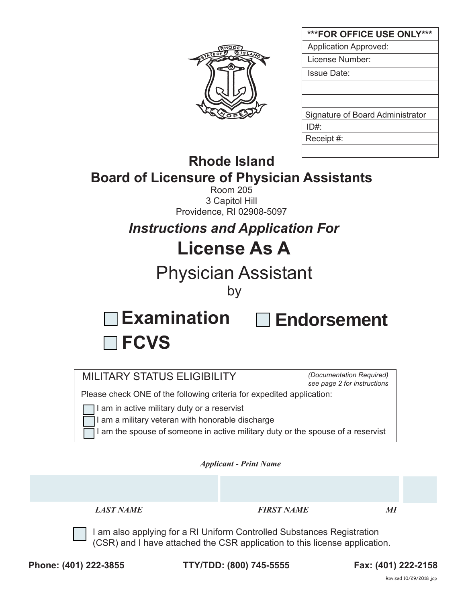

| ***FOR OFFICE USE ONLY***        |
|----------------------------------|
| <b>Application Approved:</b>     |
| License Number:                  |
| Issue Date:                      |
|                                  |
|                                  |
| Signature of Board Administrator |
| ID#                              |
| Receipt #:                       |
|                                  |

## **Rhode Island Board of Licensure of Physician Assistants**

Room 205 3 Capitol Hill Providence, RI 02908-5097

*Instructions and Application For*

# **License As A**

## Physician Assistant

by

**Examination**

# **Endorsement**

| <b>MILITARY STATUS ELIGIBILITY</b> |  |  |
|------------------------------------|--|--|

**FCVS** 

*(Documentation Required) see page 2 for instructions*

Please check ONE of the following criteria for expedited application:

I lam in active military duty or a reservist

I am a military veteran with honorable discharge

I am the spouse of someone in active military duty or the spouse of a reservist

*Applicant - Print Name* 

*LAST NAME FIRST NAME MI*

I am also applying for a RI Uniform Controlled Substances Registration (CSR) and I have attached the CSR application to this license application.

**Phone: (401) 222-3855 TTY/TDD: (800) 745-5555 Fax: (401) 222-2158**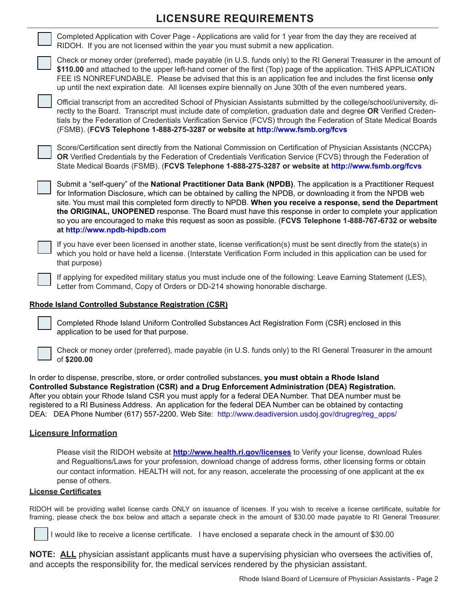### **LICENSURE REQUIREMENTS**



## Completed Rhode Island Uniform Controlled Substances Act Registration Form (CSR) enclosed in this

application to be used for that purpose.



Check or money order (preferred), made payable (in U.S. funds only) to the RI General Treasurer in the amount of **\$200.00**

In order to dispense, prescribe, store, or order controlled substances, **you must obtain a Rhode Island Controlled Substance Registration (CSR) and a Drug Enforcement Administration (DEA) Registration.** After you obtain your Rhode Island CSR you must apply for a federal DEA Number. That DEA number must be registered to a RI Business Address. An application for the federal DEA Number can be obtained by contacting DEA: DEA Phone Number (617) 557-2200. Web Site: http://www.deadiversion.usdoj.gov/drugreg/reg\_apps/

#### **Licensure Information**

Please visit the RIDOH website at **http://www.health.ri.gov/licenses** to Verify your license, download Rules and Regualtions/Laws for your profession, download change of address forms, other licensing forms or obtain our contact information. HEALTH will not, for any reason, accelerate the processing of one applicant at the ex pense of others.

#### **License Certificates**

RIDOH will be providing wallet license cards ONLY on issuance of licenses. If you wish to receive a license certificate, suitable for framing, please check the box below and attach a separate check in the amount of \$30.00 made payable to RI General Treasurer.

I would like to receive a license certificate. I have enclosed a separate check in the amount of \$30.00

**NOTE: ALL** physician assistant applicants must have a supervising physician who oversees the activities of, and accepts the responsibility for, the medical services rendered by the physician assistant.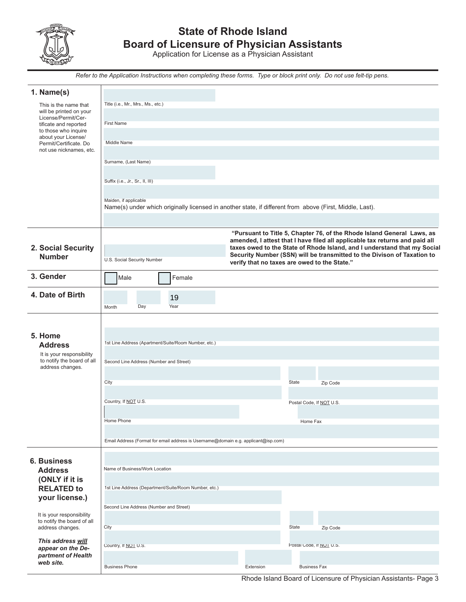

### **State of Rhode Island Board of Licensure of Physician Assistants**

Application for License as a Physician Assistant

*Refer to the Application Instructions when completing these forms. Type or block print only. Do not use felt-tip pens.*

| 1. Name(s)                                              |                                                                                                          |                                              |                          |                                                                                                                                                     |
|---------------------------------------------------------|----------------------------------------------------------------------------------------------------------|----------------------------------------------|--------------------------|-----------------------------------------------------------------------------------------------------------------------------------------------------|
| This is the name that                                   | Title (i.e., Mr., Mrs., Ms., etc.)                                                                       |                                              |                          |                                                                                                                                                     |
| will be printed on your<br>License/Permit/Cer-          |                                                                                                          |                                              |                          |                                                                                                                                                     |
| tificate and reported                                   | <b>First Name</b>                                                                                        |                                              |                          |                                                                                                                                                     |
| to those who inquire<br>about your License/             |                                                                                                          |                                              |                          |                                                                                                                                                     |
| Permit/Certificate. Do                                  | Middle Name                                                                                              |                                              |                          |                                                                                                                                                     |
| not use nicknames, etc.                                 |                                                                                                          |                                              |                          |                                                                                                                                                     |
|                                                         | Surname, (Last Name)                                                                                     |                                              |                          |                                                                                                                                                     |
|                                                         |                                                                                                          |                                              |                          |                                                                                                                                                     |
|                                                         | Suffix (i.e., Jr., Sr., II, III)                                                                         |                                              |                          |                                                                                                                                                     |
|                                                         |                                                                                                          |                                              |                          |                                                                                                                                                     |
|                                                         | Maiden, if applicable                                                                                    |                                              |                          |                                                                                                                                                     |
|                                                         | Name(s) under which originally licensed in another state, if different from above (First, Middle, Last). |                                              |                          |                                                                                                                                                     |
|                                                         |                                                                                                          |                                              |                          |                                                                                                                                                     |
|                                                         |                                                                                                          |                                              |                          | "Pursuant to Title 5, Chapter 76, of the Rhode Island General Laws, as                                                                              |
|                                                         |                                                                                                          |                                              |                          | amended, I attest that I have filed all applicable tax returns and paid all                                                                         |
| 2. Social Security                                      |                                                                                                          |                                              |                          | taxes owed to the State of Rhode Island, and I understand that my Social<br>Security Number (SSN) will be transmitted to the Divison of Taxation to |
| <b>Number</b>                                           | U.S. Social Security Number                                                                              | verify that no taxes are owed to the State." |                          |                                                                                                                                                     |
| 3. Gender                                               |                                                                                                          |                                              |                          |                                                                                                                                                     |
|                                                         | Female<br>Male                                                                                           |                                              |                          |                                                                                                                                                     |
| 4. Date of Birth                                        |                                                                                                          |                                              |                          |                                                                                                                                                     |
|                                                         | 19<br>Year                                                                                               |                                              |                          |                                                                                                                                                     |
|                                                         | Day<br>Month                                                                                             |                                              |                          |                                                                                                                                                     |
|                                                         |                                                                                                          |                                              |                          |                                                                                                                                                     |
| 5. Home                                                 |                                                                                                          |                                              |                          |                                                                                                                                                     |
| <b>Address</b>                                          | 1st Line Address (Apartment/Suite/Room Number, etc.)                                                     |                                              |                          |                                                                                                                                                     |
| It is your responsibility                               |                                                                                                          |                                              |                          |                                                                                                                                                     |
| to notify the board of all                              | Second Line Address (Number and Street)                                                                  |                                              |                          |                                                                                                                                                     |
| address changes.                                        |                                                                                                          |                                              |                          |                                                                                                                                                     |
|                                                         | City                                                                                                     |                                              | State                    | Zip Code                                                                                                                                            |
|                                                         |                                                                                                          |                                              |                          |                                                                                                                                                     |
|                                                         | Country, If NOT U.S.                                                                                     |                                              | Postal Code, If NOT U.S. |                                                                                                                                                     |
|                                                         |                                                                                                          |                                              |                          |                                                                                                                                                     |
|                                                         | Home Phone                                                                                               |                                              | Home Fax                 |                                                                                                                                                     |
|                                                         |                                                                                                          |                                              |                          |                                                                                                                                                     |
|                                                         | Email Address (Format for email address is Username@domain e.g. applicant@isp.com)                       |                                              |                          |                                                                                                                                                     |
|                                                         |                                                                                                          |                                              |                          |                                                                                                                                                     |
| <b>6. Business</b>                                      |                                                                                                          |                                              |                          |                                                                                                                                                     |
| <b>Address</b>                                          | Name of Business/Work Location                                                                           |                                              |                          |                                                                                                                                                     |
| (ONLY if it is                                          |                                                                                                          |                                              |                          |                                                                                                                                                     |
| <b>RELATED to</b>                                       | 1st Line Address (Department/Suite/Room Number, etc.)                                                    |                                              |                          |                                                                                                                                                     |
| your license.)                                          |                                                                                                          |                                              |                          |                                                                                                                                                     |
|                                                         | Second Line Address (Number and Street)                                                                  |                                              |                          |                                                                                                                                                     |
| It is your responsibility<br>to notify the board of all |                                                                                                          |                                              |                          |                                                                                                                                                     |
| address changes.                                        | City                                                                                                     |                                              | State                    | Zip Code                                                                                                                                            |
| This address will                                       |                                                                                                          |                                              |                          |                                                                                                                                                     |
| appear on the De-                                       | Country, If NOT U.S.                                                                                     |                                              | Postal Code, IT NOT U.S. |                                                                                                                                                     |
| partment of Health<br>web site.                         |                                                                                                          |                                              |                          |                                                                                                                                                     |
|                                                         | <b>Business Phone</b>                                                                                    | Extension                                    | <b>Business Fax</b>      |                                                                                                                                                     |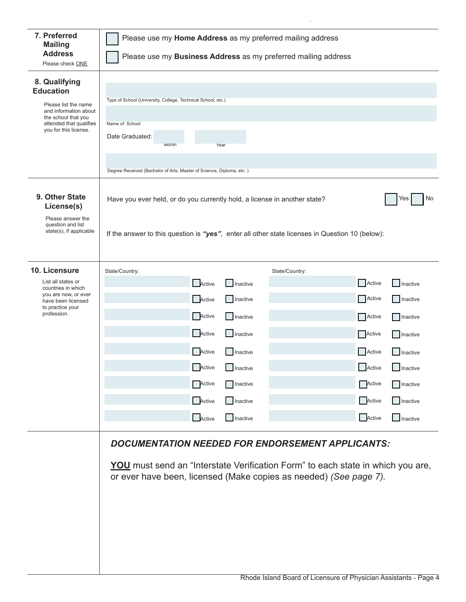| 7. Preferred<br><b>Mailing</b>                                                                                                                                | Please use my Home Address as my preferred mailing address                                                                                                                                                             |                           |  |  |
|---------------------------------------------------------------------------------------------------------------------------------------------------------------|------------------------------------------------------------------------------------------------------------------------------------------------------------------------------------------------------------------------|---------------------------|--|--|
| <b>Address</b><br>Please check ONE                                                                                                                            | Please use my Business Address as my preferred mailing address                                                                                                                                                         |                           |  |  |
| 8. Qualifying<br><b>Education</b><br>Please list the name<br>and information about<br>the school that you<br>attended that qualifies<br>you for this license. | Type of School (University, College, Technical School, etc.)<br>Name of School<br>Date Graduated:<br>Month<br>Year<br>Degree Received (Bachelor of Arts, Master of Science, Diploma, etc.)                             |                           |  |  |
| 9. Other State<br>License(s)                                                                                                                                  | No<br>Have you ever held, or do you currently hold, a license in another state?<br>Yes                                                                                                                                 |                           |  |  |
| Please answer the<br>question and list<br>state(s), if applicable                                                                                             | If the answer to this question is "yes", enter all other state licenses in Question 10 (below):                                                                                                                        |                           |  |  |
| 10. Licensure                                                                                                                                                 | State/Country:<br>State/Country:                                                                                                                                                                                       |                           |  |  |
| List all states or<br>countries in which                                                                                                                      | Active<br>Inactive                                                                                                                                                                                                     | Active<br>Inactive        |  |  |
| you are now, or ever<br>have been licensed<br>to practice your                                                                                                | Active<br>Inactive                                                                                                                                                                                                     | Active<br>Inactive        |  |  |
| profession.                                                                                                                                                   | Active<br>Inactive                                                                                                                                                                                                     | Active<br>Inactive        |  |  |
|                                                                                                                                                               | Active<br>$\Box$ Inactive                                                                                                                                                                                              | Active<br>Inactive        |  |  |
|                                                                                                                                                               | Active<br>$\Box$ Inactive                                                                                                                                                                                              | Active<br>$\Box$ Inactive |  |  |
|                                                                                                                                                               | Active<br>$\Box$ Inactive                                                                                                                                                                                              | Active<br>$\Box$ Inactive |  |  |
|                                                                                                                                                               | Active<br>  Inactive                                                                                                                                                                                                   | Active<br><b>nactive</b>  |  |  |
|                                                                                                                                                               | Active<br>Inactive                                                                                                                                                                                                     | Active<br>$\Box$ Inactive |  |  |
|                                                                                                                                                               | Active<br>Inactive                                                                                                                                                                                                     | Active<br>$\Box$ Inactive |  |  |
|                                                                                                                                                               | <b>DOCUMENTATION NEEDED FOR ENDORSEMENT APPLICANTS:</b><br><b>YOU</b> must send an "Interstate Verification Form" to each state in which you are,<br>or ever have been, licensed (Make copies as needed) (See page 7). |                           |  |  |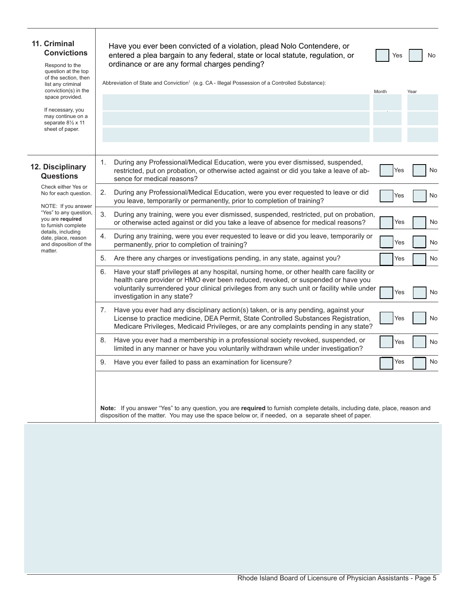| 11. Criminal<br><b>Convictions</b><br>Respond to the<br>question at the top<br>of the section, then<br>list any criminal   | Have you ever been convicted of a violation, plead Nolo Contendere, or<br>entered a plea bargain to any federal, state or local statute, regulation, or<br>ordinance or are any formal charges pending?<br>Abbreviation of State and Conviction <sup>1</sup> (e.g. CA - Illegal Possession of a Controlled Substance): | Yes   | No   |
|----------------------------------------------------------------------------------------------------------------------------|------------------------------------------------------------------------------------------------------------------------------------------------------------------------------------------------------------------------------------------------------------------------------------------------------------------------|-------|------|
| conviction(s) in the<br>space provided.<br>If necessary, you<br>may continue on a<br>separate 81/2 x 11<br>sheet of paper. |                                                                                                                                                                                                                                                                                                                        | Month | Year |
| 12. Disciplinary<br><b>Questions</b>                                                                                       | During any Professional/Medical Education, were you ever dismissed, suspended,<br>1.<br>restricted, put on probation, or otherwise acted against or did you take a leave of ab-<br>sence for medical reasons?                                                                                                          | Yes   | No   |
| Check either Yes or<br>No for each question.                                                                               | During any Professional/Medical Education, were you ever requested to leave or did<br>2.<br>you leave, temporarily or permanently, prior to completion of training?                                                                                                                                                    | Yes   | No   |
| NOTE: If you answer<br>"Yes" to any question,<br>you are required<br>to furnish complete                                   | 3.<br>During any training, were you ever dismissed, suspended, restricted, put on probation,<br>or otherwise acted against or did you take a leave of absence for medical reasons?                                                                                                                                     | Yes   | No   |
| details, including<br>date, place, reason<br>and disposition of the<br>matter.                                             | 4.<br>During any training, were you ever requested to leave or did you leave, temporarily or<br>permanently, prior to completion of training?                                                                                                                                                                          | Yes   | No   |
|                                                                                                                            | Are there any charges or investigations pending, in any state, against you?<br>5.                                                                                                                                                                                                                                      | Yes   | No   |
|                                                                                                                            | Have your staff privileges at any hospital, nursing home, or other health care facility or<br>6.<br>health care provider or HMO ever been reduced, revoked, or suspended or have you<br>voluntarily surrendered your clinical privileges from any such unit or facility while under<br>investigation in any state?     | Yes   | No   |
|                                                                                                                            | Have you ever had any disciplinary action(s) taken, or is any pending, against your<br>7.<br>License to practice medicine, DEA Permit, State Controlled Substances Registration,<br>Medicare Privileges, Medicaid Privileges, or are any complaints pending in any state?                                              | Yes   | No   |
|                                                                                                                            | Have you ever had a membership in a professional society revoked, suspended, or<br>8.<br>limited in any manner or have you voluntarily withdrawn while under investigation?                                                                                                                                            | Yes   | No   |
|                                                                                                                            | Have you ever failed to pass an examination for licensure?<br>9.                                                                                                                                                                                                                                                       | Yes   | No   |
|                                                                                                                            | Note: If you answer "Yes" to any question, you are required to furnish complete details, including date, place, reason and<br>disposition of the matter. You may use the space below or, if needed, on a separate sheet of paper.                                                                                      |       |      |

Τ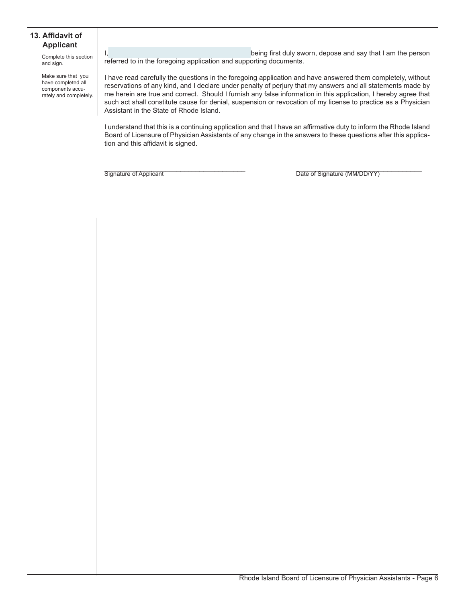#### **13. Affidavit of Applicant**

Complete this section and sign.

Make sure that you have completed all components accurately and completely. I, the contract of the contract of the being first duly sworn, depose and say that I am the person referred to in the foregoing application and supporting documents.

I have read carefully the questions in the foregoing application and have answered them completely, without reservations of any kind, and I declare under penalty of perjury that my answers and all statements made by me herein are true and correct. Should I furnish any false information in this application, I hereby agree that such act shall constitute cause for denial, suspension or revocation of my license to practice as a Physician Assistant in the State of Rhode Island.

I understand that this is a continuing application and that I have an affirmative duty to inform the Rhode Island Board of Licensure of Physician Assistants of any change in the answers to these questions after this application and this affidavit is signed.

Signature of Applicant **Example 20** The Signature (MM/DD/YY)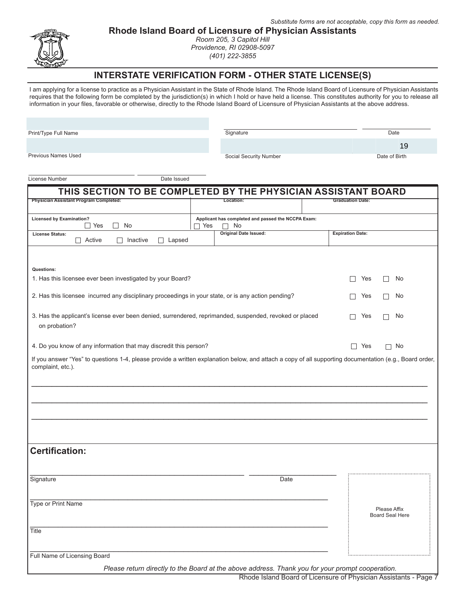

**Rhode Island Board of Licensure of Physician Assistants**

*Room 205, 3 Capitol Hill Providence, RI 02908-5097 (401) 222-3855*

## **INTERSTATE VERIFICATION FORM - OTHER STATE LICENSE(S)**

I am applying for a license to practice as a Physician Assistant in the State of Rhode Island. The Rhode Island Board of Licensure of Physician Assistants requires that the following form be completed by the jurisdiction(s) in which I hold or have held a license. This constitutes authority for you to release all information in your files, favorable or otherwise, directly to the Rhode Island Board of Licensure of Physician Assistants at the above address.

| Print/Type Full Name                                                                                                                                                         | Signature                                                         | Date                                      |
|------------------------------------------------------------------------------------------------------------------------------------------------------------------------------|-------------------------------------------------------------------|-------------------------------------------|
|                                                                                                                                                                              |                                                                   | 19                                        |
| Previous Names Used                                                                                                                                                          | Social Security Number                                            | Date of Birth                             |
| License Number<br>Date Issued                                                                                                                                                |                                                                   |                                           |
|                                                                                                                                                                              |                                                                   |                                           |
| THIS SECTION TO BE COMPLETED BY THE PHYSICIAN ASSISTANT BOARD<br><b>Physician Assistant Program Completed:</b>                                                               | Location:                                                         | <b>Graduation Date:</b>                   |
|                                                                                                                                                                              |                                                                   |                                           |
| <b>Licensed by Examination?</b><br>$\Box$ Yes<br>No<br>$\mathsf{L}$                                                                                                          | Applicant has completed and passed the NCCPA Exam:<br>7 Yes<br>No |                                           |
| <b>License Status:</b><br>$\Box$ Active<br>Inactive<br>Lapsed<br>$\Box$                                                                                                      | Original Date Issued:                                             | <b>Expiration Date:</b>                   |
|                                                                                                                                                                              |                                                                   |                                           |
| Questions:<br>1. Has this licensee ever been investigated by your Board?                                                                                                     |                                                                   | П<br>Yes<br>No<br>П                       |
| 2. Has this licensee incurred any disciplinary proceedings in your state, or is any action pending?                                                                          |                                                                   | Yes<br>No<br>$\mathsf{L}$<br>$\mathsf{L}$ |
|                                                                                                                                                                              |                                                                   |                                           |
| 3. Has the applicant's license ever been denied, surrendered, reprimanded, suspended, revoked or placed<br>on probation?                                                     |                                                                   | Yes<br>No<br>$\mathsf{L}$                 |
| 4. Do you know of any information that may discredit this person?                                                                                                            |                                                                   | п<br>Yes<br>No<br>П                       |
| If you answer "Yes" to questions 1-4, please provide a written explanation below, and attach a copy of all supporting documentation (e.g., Board order,<br>complaint, etc.). |                                                                   |                                           |
|                                                                                                                                                                              |                                                                   |                                           |
|                                                                                                                                                                              |                                                                   |                                           |
| <b>Certification:</b>                                                                                                                                                        |                                                                   |                                           |
|                                                                                                                                                                              |                                                                   |                                           |
| Signature                                                                                                                                                                    | Date                                                              |                                           |
| Type or Print Name                                                                                                                                                           |                                                                   | Please Affix                              |
|                                                                                                                                                                              |                                                                   | <b>Board Seal Here</b>                    |
| Title                                                                                                                                                                        |                                                                   |                                           |
| Full Name of Licensing Board                                                                                                                                                 |                                                                   |                                           |

*Please return directly to the Board at the above address. Thank you for your prompt cooperation.*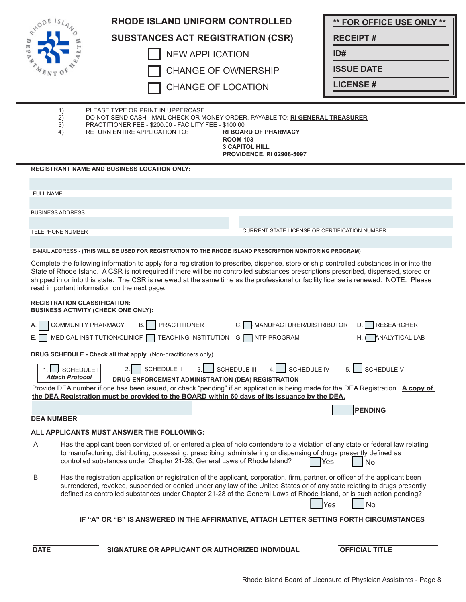| RYODE ISL               | <b>RHODE ISLAND UNIFORM CONTROLLED</b>                                                                                                                                                                                                                                                                                                                                                                                                                                    |                                                                                                             | <b>** FOR OFFICE USE ONLY **</b>                  |
|-------------------------|---------------------------------------------------------------------------------------------------------------------------------------------------------------------------------------------------------------------------------------------------------------------------------------------------------------------------------------------------------------------------------------------------------------------------------------------------------------------------|-------------------------------------------------------------------------------------------------------------|---------------------------------------------------|
|                         | <b>SUBSTANCES ACT REGISTRATION (CSR)</b>                                                                                                                                                                                                                                                                                                                                                                                                                                  |                                                                                                             | <b>RECEIPT#</b>                                   |
|                         | <b>NEW APPLICATION</b>                                                                                                                                                                                                                                                                                                                                                                                                                                                    |                                                                                                             | ID#                                               |
|                         | <b>CHANGE OF OWNERSHIP</b>                                                                                                                                                                                                                                                                                                                                                                                                                                                |                                                                                                             | <b>ISSUE DATE</b>                                 |
|                         | <b>CHANGE OF LOCATION</b>                                                                                                                                                                                                                                                                                                                                                                                                                                                 |                                                                                                             | <b>LICENSE#</b>                                   |
|                         |                                                                                                                                                                                                                                                                                                                                                                                                                                                                           |                                                                                                             |                                                   |
| 1)<br>2)<br>3)<br>4)    | PLEASE TYPE OR PRINT IN UPPERCASE<br>DO NOT SEND CASH - MAIL CHECK OR MONEY ORDER, PAYABLE TO: RI GENERAL TREASURER<br>PRACTITIONER FEE - \$200.00 - FACILITY FEE - \$100.00<br>RETURN ENTIRE APPLICATION TO:                                                                                                                                                                                                                                                             | <b>RI BOARD OF PHARMACY</b><br><b>ROOM 103</b><br><b>3 CAPITOL HILL</b><br><b>PROVIDENCE, RI 02908-5097</b> |                                                   |
|                         | <b>REGISTRANT NAME AND BUSINESS LOCATION ONLY:</b>                                                                                                                                                                                                                                                                                                                                                                                                                        |                                                                                                             |                                                   |
| <b>FULL NAME</b>        |                                                                                                                                                                                                                                                                                                                                                                                                                                                                           |                                                                                                             |                                                   |
|                         |                                                                                                                                                                                                                                                                                                                                                                                                                                                                           |                                                                                                             |                                                   |
| <b>BUSINESS ADDRESS</b> |                                                                                                                                                                                                                                                                                                                                                                                                                                                                           |                                                                                                             |                                                   |
| <b>TELEPHONE NUMBER</b> |                                                                                                                                                                                                                                                                                                                                                                                                                                                                           | <b>CURRENT STATE LICENSE OR CERTIFICATION NUMBER</b>                                                        |                                                   |
|                         | E-MAIL ADDRESS - (THIS WILL BE USED FOR REGISTRATION TO THE RHODE ISLAND PRESCRIPTION MONITORING PROGRAM)                                                                                                                                                                                                                                                                                                                                                                 |                                                                                                             |                                                   |
|                         | Complete the following information to apply for a registration to prescribe, dispense, store or ship controlled substances in or into the<br>State of Rhode Island. A CSR is not required if there will be no controlled substances prescriptions prescribed, dispensed, stored or<br>shipped in or into this state. The CSR is renewed at the same time as the professional or facility license is renewed. NOTE: Please<br>read important information on the next page. |                                                                                                             |                                                   |
|                         | <b>REGISTRATION CLASSIFICATION:</b>                                                                                                                                                                                                                                                                                                                                                                                                                                       |                                                                                                             |                                                   |
| А.<br>Е.                | <b>BUSINESS ACTIVITY (CHECK ONE ONLY):</b><br><b>PRACTITIONER</b><br>COMMUNITY PHARMACY<br><b>B.</b><br>MEDICAL INSTITUTION/CLINICF.<br>TEACHING INSTITUTION G. NTP PROGRAM                                                                                                                                                                                                                                                                                               | MANUFACTURER/DISTRIBUTOR                                                                                    | RESEARCHER<br>D.<br><b>ANALYTICAL LAB</b><br>H. ( |
|                         | DRUG SCHEDULE - Check all that apply (Non-practitioners only)                                                                                                                                                                                                                                                                                                                                                                                                             |                                                                                                             |                                                   |
| <b>Attach Protocol</b>  | SCHEDULE II<br>SCHEDULE I<br>3.1<br>DRUG ENFORCEMENT ADMINISTRATION (DEA) REGISTRATION<br>Provide DEA number if one has been issued, or check "pending" if an application is being made for the DEA Registration. A copy of<br>the DEA Registration must be provided to the BOARD within 60 days of its issuance by the DEA.                                                                                                                                              | <b>SCHEDULE III</b><br>SCHEDULE IV                                                                          | <b>SCHEDULE V</b>                                 |
| <b>DEA NUMBER</b>       |                                                                                                                                                                                                                                                                                                                                                                                                                                                                           |                                                                                                             | <b>PENDING</b>                                    |
|                         | ALL APPLICANTS MUST ANSWER THE FOLLOWING:                                                                                                                                                                                                                                                                                                                                                                                                                                 |                                                                                                             |                                                   |
| А.                      | Has the applicant been convicted of, or entered a plea of nolo contendere to a violation of any state or federal law relating<br>to manufacturing, distributing, possessing, prescribing, administering or dispensing of drugs presently defined as<br>controlled substances under Chapter 21-28, General Laws of Rhode Island?                                                                                                                                           |                                                                                                             | Yes<br>No                                         |
| В.                      | Has the registration application or registration of the applicant, corporation, firm, partner, or officer of the applicant been<br>surrendered, revoked, suspended or denied under any law of the United States or of any state relating to drugs presently<br>defined as controlled substances under Chapter 21-28 of the General Laws of Rhode Island, or is such action pending?                                                                                       |                                                                                                             | No<br>Yes                                         |
|                         | IF "A" OR "B" IS ANSWERED IN THE AFFIRMATIVE, ATTACH LETTER SETTING FORTH CIRCUMSTANCES                                                                                                                                                                                                                                                                                                                                                                                   |                                                                                                             |                                                   |
| <b>DATE</b>             | SIGNATURE OR APPLICANT OR AUTHORIZED INDIVIDUAL                                                                                                                                                                                                                                                                                                                                                                                                                           |                                                                                                             | <b>OFFICIAL TITLE</b>                             |